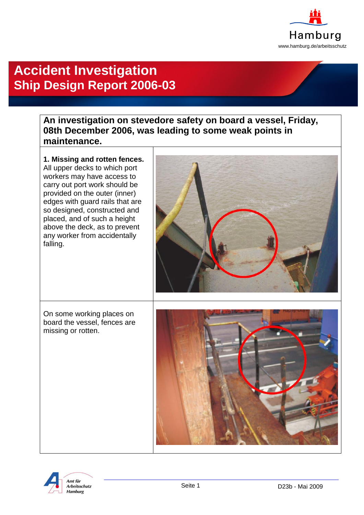

## **Accident Investigation Ship Design Report 2006-03**

## **An investigation on stevedore safety on board a vessel, Friday, 08th December 2006, was leading to some weak points in maintenance.**